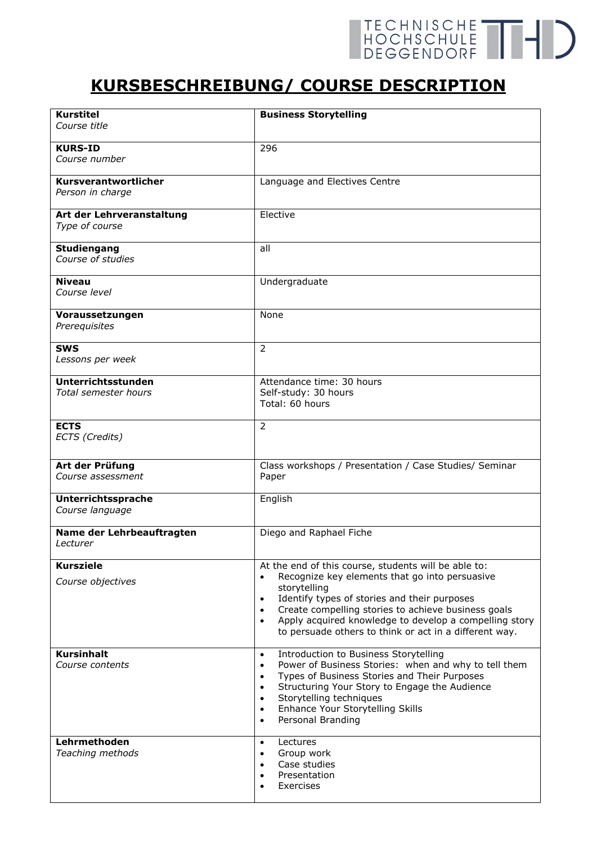## TECHNISCHE THE

## **KURSBESCHREIBUNG/ COURSE DESCRIPTION**

| <b>Kurstitel</b><br>Course title            | <b>Business Storytelling</b>                                                                                                                                                                                                                                                                                                                                                                          |
|---------------------------------------------|-------------------------------------------------------------------------------------------------------------------------------------------------------------------------------------------------------------------------------------------------------------------------------------------------------------------------------------------------------------------------------------------------------|
|                                             |                                                                                                                                                                                                                                                                                                                                                                                                       |
| <b>KURS-ID</b><br>Course number             | 296                                                                                                                                                                                                                                                                                                                                                                                                   |
| Kursverantwortlicher<br>Person in charge    | Language and Electives Centre                                                                                                                                                                                                                                                                                                                                                                         |
| Art der Lehrveranstaltung<br>Type of course | Elective                                                                                                                                                                                                                                                                                                                                                                                              |
| <b>Studiengang</b><br>Course of studies     | all                                                                                                                                                                                                                                                                                                                                                                                                   |
| Niveau<br>Course level                      | Undergraduate                                                                                                                                                                                                                                                                                                                                                                                         |
| Voraussetzungen<br>Prerequisites            | None                                                                                                                                                                                                                                                                                                                                                                                                  |
| <b>SWS</b><br>Lessons per week              | $\overline{2}$                                                                                                                                                                                                                                                                                                                                                                                        |
| Unterrichtsstunden<br>Total semester hours  | Attendance time: 30 hours<br>Self-study: 30 hours<br>Total: 60 hours                                                                                                                                                                                                                                                                                                                                  |
| <b>ECTS</b><br>ECTS (Credits)               | $\overline{2}$                                                                                                                                                                                                                                                                                                                                                                                        |
| Art der Prüfung<br>Course assessment        | Class workshops / Presentation / Case Studies/ Seminar<br>Paper                                                                                                                                                                                                                                                                                                                                       |
| Unterrichtssprache<br>Course language       | English                                                                                                                                                                                                                                                                                                                                                                                               |
| Name der Lehrbeauftragten<br>Lecturer       | Diego and Raphael Fiche                                                                                                                                                                                                                                                                                                                                                                               |
| <b>Kursziele</b><br>Course objectives       | At the end of this course, students will be able to:<br>Recognize key elements that go into persuasive<br>$\bullet$<br>storytelling<br>Identify types of stories and their purposes<br>$\bullet$<br>Create compelling stories to achieve business goals<br>$\bullet$<br>Apply acquired knowledge to develop a compelling story<br>$\bullet$<br>to persuade others to think or act in a different way. |
| <b>Kursinhalt</b><br>Course contents        | Introduction to Business Storytelling<br>$\bullet$<br>Power of Business Stories: when and why to tell them<br>$\bullet$<br>Types of Business Stories and Their Purposes<br>$\bullet$<br>Structuring Your Story to Engage the Audience<br>$\bullet$<br>Storytelling techniques<br>$\bullet$<br>Enhance Your Storytelling Skills<br>$\bullet$<br>Personal Branding<br>$\bullet$                         |
| Lehrmethoden<br>Teaching methods            | Lectures<br>$\bullet$<br>Group work<br>$\bullet$<br>Case studies<br>$\bullet$<br>Presentation<br>٠<br>Exercises                                                                                                                                                                                                                                                                                       |